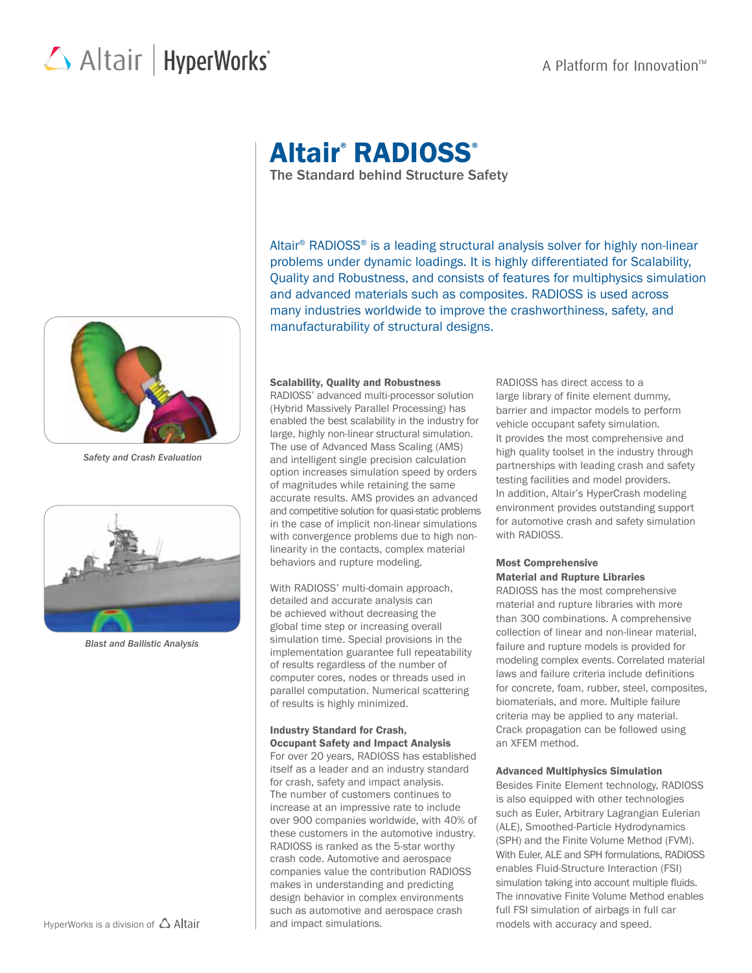## Altair | HyperWorks<sup>\*</sup>



*Safety and Crash Evaluation*



*Blast and Ballistic Analysis*

# Altair® RADIOSS®

The Standard behind Structure Safety

Altair® RADIOSS® is a leading structural analysis solver for highly non-linear problems under dynamic loadings. It is highly differentiated for Scalability, Quality and Robustness, and consists of features for multiphysics simulation and advanced materials such as composites. RADIOSS is used across many industries worldwide to improve the crashworthiness, safety, and manufacturability of structural designs.

#### Scalability, Quality and Robustness

RADIOSS' advanced multi-processor solution (Hybrid Massively Parallel Processing) has enabled the best scalability in the industry for large, highly non-linear structural simulation. The use of Advanced Mass Scaling (AMS) and intelligent single precision calculation option increases simulation speed by orders of magnitudes while retaining the same accurate results. AMS provides an advanced and competitive solution for quasi-static problems in the case of implicit non-linear simulations with convergence problems due to high nonlinearity in the contacts, complex material behaviors and rupture modeling.

With RADIOSS' multi-domain approach, detailed and accurate analysis can be achieved without decreasing the global time step or increasing overall simulation time. Special provisions in the implementation guarantee full repeatability of results regardless of the number of computer cores, nodes or threads used in parallel computation. Numerical scattering of results is highly minimized.

#### Industry Standard for Crash, Occupant Safety and Impact Analysis

For over 20 years, RADIOSS has established itself as a leader and an industry standard for crash, safety and impact analysis. The number of customers continues to increase at an impressive rate to include over 900 companies worldwide, with 40% of these customers in the automotive industry. RADIOSS is ranked as the 5-star worthy crash code. Automotive and aerospace companies value the contribution RADIOSS makes in understanding and predicting design behavior in complex environments such as automotive and aerospace crash and impact simulations.

RADIOSS has direct access to a large library of finite element dummy, barrier and impactor models to perform vehicle occupant safety simulation. It provides the most comprehensive and high quality toolset in the industry through partnerships with leading crash and safety testing facilities and model providers. In addition, Altair's HyperCrash modeling environment provides outstanding support for automotive crash and safety simulation with RADIOSS.

#### Most Comprehensive Material and Rupture Libraries

RADIOSS has the most comprehensive material and rupture libraries with more than 300 combinations. A comprehensive collection of linear and non-linear material, failure and rupture models is provided for modeling complex events. Correlated material laws and failure criteria include definitions for concrete, foam, rubber, steel, composites, biomaterials, and more. Multiple failure criteria may be applied to any material. Crack propagation can be followed using an XFEM method.

#### Advanced Multiphysics Simulation

Besides Finite Element technology, RADIOSS is also equipped with other technologies such as Euler, Arbitrary Lagrangian Eulerian (ALE), Smoothed-Particle Hydrodynamics (SPH) and the Finite Volume Method (FVM). With Euler, ALE and SPH formulations, RADIOSS enables Fluid-Structure Interaction (FSI) simulation taking into account multiple fluids. The innovative Finite Volume Method enables full FSI simulation of airbags in full car models with accuracy and speed.